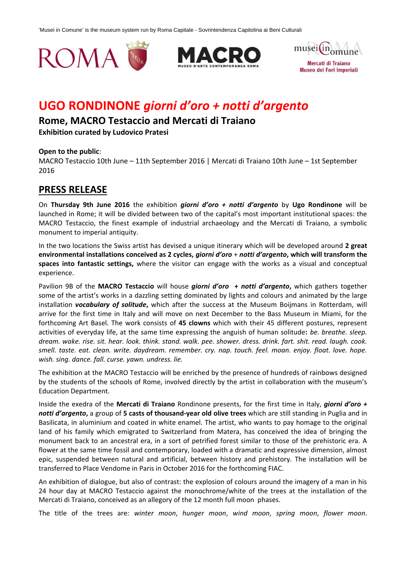





# **UGO RONDINONE** *giorni d'oro + notti d'argento*

# **Rome, MACRO Testaccio and Mercati di Traiano**

**Exhibition curated by Ludovico Pratesi** 

# **Open to the public**:

MACRO Testaccio 10th June – 11th September 2016 | Mercati di Traiano 10th June – 1st September 2016

# **PRESS RELEASE**

On **Thursday 9th June 2016** the exhibition *giorni d'oro + notti d'argento* by **Ugo Rondinone** will be launched in Rome; it will be divided between two of the capital's most important institutional spaces: the MACRO Testaccio, the finest example of industrial archaeology and the Mercati di Traiano, a symbolic monument to imperial antiquity.

In the two locations the Swiss artist has devised a unique itinerary which will be developed around **2 great environmental installations conceived as 2 cycles,** *giorni d'oro* + *notti d'argento***, which will transform the spaces into fantastic settings,** where the visitor can engage with the works as a visual and conceptual experience.

Pavilion 9B of the **MACRO Testaccio** will house *giorni d'oro* **+** *notti d'argento***,** which gathers together some of the artist's works in a dazzling setting dominated by lights and colours and animated by the large installation *vocabulary of solitude***,** which after the success at the Museum Boijmans in Rotterdam, will arrive for the first time in Italy and will move on next December to the Bass Museum in Miami, for the forthcoming Art Basel. The work consists of **45 clowns** which with their 45 different postures, represent activities of everyday life, at the same time expressing the anguish of human solitude**:** *be. breathe. sleep. dream. wake. rise. sit. hear. look. think. stand. walk. pee. shower. dress. drink. fart. shit. read. laugh. cook. smell. taste. eat. clean. write. daydream. remember. cry. nap. touch. feel. moan. enjoy. float. love. hope. wish. sing. dance. fall. curse. yawn. undress. lie.*

The exhibition at the MACRO Testaccio will be enriched by the presence of hundreds of rainbows designed by the students of the schools of Rome, involved directly by the artist in collaboration with the museum's Education Department.

Inside the exedra of the **Mercati di Traiano** Rondinone presents, for the first time in Italy, *giorni d'oro + notti d'argento***,** a group of **5 casts of thousand-year old olive trees** which are still standing in Puglia and in Basilicata, in aluminium and coated in white enamel. The artist, who wants to pay homage to the original land of his family which emigrated to Switzerland from Matera, has conceived the idea of bringing the monument back to an ancestral era, in a sort of petrified forest similar to those of the prehistoric era. A flower at the same time fossil and contemporary, loaded with a dramatic and expressive dimension, almost epic, suspended between natural and artificial, between history and prehistory. The installation will be transferred to Place Vendome in Paris in October 2016 for the forthcoming FIAC.

An exhibition of dialogue, but also of contrast: the explosion of colours around the imagery of a man in his 24 hour day at MACRO Testaccio against the monochrome/white of the trees at the installation of the Mercati di Traiano, conceived as an allegory of the 12 month full moon phases.

The title of the trees are: *winter moon*, *hunger moon*, *wind moon*, *spring moon*, *flower moon*.